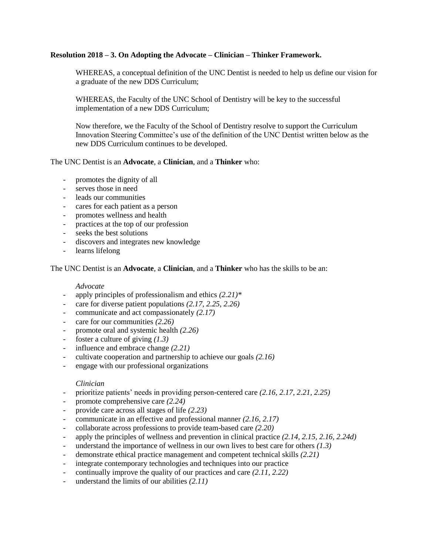## **Resolution 2018 – 3. On Adopting the Advocate – Clinician – Thinker Framework.**

WHEREAS, a conceptual definition of the UNC Dentist is needed to help us define our vision for a graduate of the new DDS Curriculum;

WHEREAS, the Faculty of the UNC School of Dentistry will be key to the successful implementation of a new DDS Curriculum;

Now therefore, we the Faculty of the School of Dentistry resolve to support the Curriculum Innovation Steering Committee's use of the definition of the UNC Dentist written below as the new DDS Curriculum continues to be developed.

### The UNC Dentist is an **Advocate**, a **Clinician**, and a **Thinker** who:

- promotes the dignity of all
- serves those in need
- leads our communities
- cares for each patient as a person
- promotes wellness and health
- practices at the top of our profession
- seeks the best solutions
- discovers and integrates new knowledge
- learns lifelong

The UNC Dentist is an **Advocate**, a **Clinician**, and a **Thinker** who has the skills to be an:

### *Advocate*

- apply principles of professionalism and ethics *(2.21)\**
- care for diverse patient populations  $(2.17, 2.25, 2.26)$
- communicate and act compassionately *(2.17)*
- care for our communities *(2.26)*
- promote oral and systemic health *(2.26)*
- foster a culture of giving *(1.3)*
- influence and embrace change *(2.21)*
- cultivate cooperation and partnership to achieve our goals *(2.16)*
- engage with our professional organizations

### *Clinician*

- prioritize patients' needs in providing person-centered care *(2.16, 2.17, 2.21, 2.25)*
- promote comprehensive care  $(2.24)$
- provide care across all stages of life *(2.23)*
- communicate in an effective and professional manner *(2.16, 2.17)*
- collaborate across professions to provide team-based care *(2.20)*
- apply the principles of wellness and prevention in clinical practice *(2.14, 2.15, 2.16, 2.24d)*
- understand the importance of wellness in our own lives to best care for others *(1.3)*
- demonstrate ethical practice management and competent technical skills  $(2.21)$
- integrate contemporary technologies and techniques into our practice
- continually improve the quality of our practices and care *(2.11, 2.22)*
- understand the limits of our abilities *(2.11)*